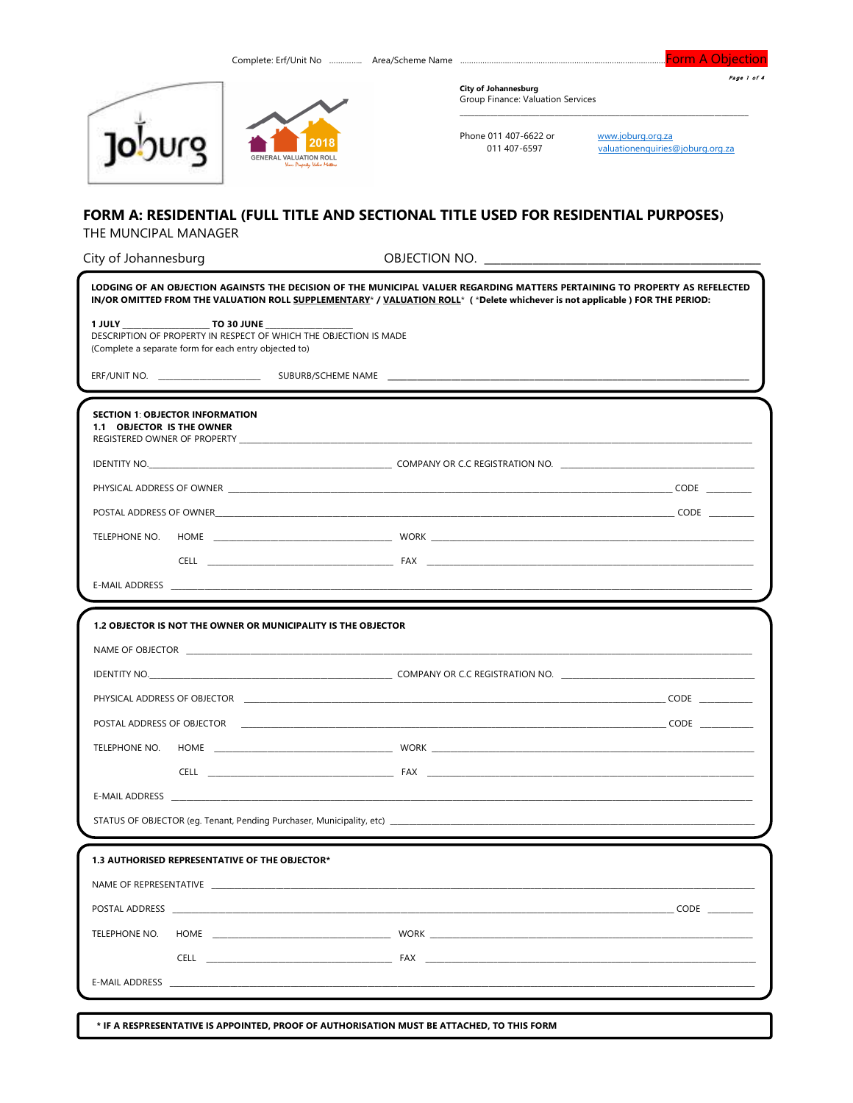| Page 1 of 4 |  |
|-------------|--|

Form A Objection





**City of Johannesburg** Group Finance: Valuation Services

Phone 011 407-6622 or www.joburg.org.za<br>011 407-6597 valuationenquiries@joburg.org.za

# FORM A: RESIDENTIAL (FULL TITLE AND SECTIONAL TITLE USED FOR RESIDENTIAL PURPOSES) THE MUNCIPAL MANAGER

| City of Johannesburg                                                                                                                                                                                                           |                                                                                                                                                                                                                                                              |
|--------------------------------------------------------------------------------------------------------------------------------------------------------------------------------------------------------------------------------|--------------------------------------------------------------------------------------------------------------------------------------------------------------------------------------------------------------------------------------------------------------|
|                                                                                                                                                                                                                                | LODGING OF AN OBJECTION AGAINSTS THE DECISION OF THE MUNICIPAL VALUER REGARDING MATTERS PERTAINING TO PROPERTY AS REFELECTED<br>IN/OR OMITTED FROM THE VALUATION ROLL SUPPLEMENTARY* / VALUATION ROLL* (*Delete whichever is not applicable) FOR THE PERIOD: |
| 1 JULY <b>TO 30 JUNE</b><br>DESCRIPTION OF PROPERTY IN RESPECT OF WHICH THE OBJECTION IS MADE<br>(Complete a separate form for each entry objected to)                                                                         |                                                                                                                                                                                                                                                              |
|                                                                                                                                                                                                                                |                                                                                                                                                                                                                                                              |
|                                                                                                                                                                                                                                |                                                                                                                                                                                                                                                              |
| <b>SECTION 1: OBJECTOR INFORMATION</b><br>1.1 OBJECTOR IS THE OWNER<br>REGISTERED OWNER OF PROPERTY NETWORK CONTROL CONTROL CONTROL CONTROL CONTROL CONTROL CONTROL CONTROL CONTROL CO                                         |                                                                                                                                                                                                                                                              |
|                                                                                                                                                                                                                                | IDENTITY NO. NORTH AND THE RESIDENCE OF A RESIDENCE OF A RESIDENCE OF A RESIDENCE OF A RESIDENCE OF A RESIDENCE OF A RESIDENCE OF A RESIDENCE OF A RESIDENCE OF A RESIDENCE OF A RESIDENCE OF A RESIDENCE OF A RESIDENCE OF A                                |
|                                                                                                                                                                                                                                |                                                                                                                                                                                                                                                              |
|                                                                                                                                                                                                                                |                                                                                                                                                                                                                                                              |
| TELEPHONE NO.                                                                                                                                                                                                                  |                                                                                                                                                                                                                                                              |
|                                                                                                                                                                                                                                |                                                                                                                                                                                                                                                              |
|                                                                                                                                                                                                                                |                                                                                                                                                                                                                                                              |
| 1.2 OBJECTOR IS NOT THE OWNER OR MUNICIPALITY IS THE OBJECTOR                                                                                                                                                                  |                                                                                                                                                                                                                                                              |
|                                                                                                                                                                                                                                |                                                                                                                                                                                                                                                              |
|                                                                                                                                                                                                                                |                                                                                                                                                                                                                                                              |
|                                                                                                                                                                                                                                |                                                                                                                                                                                                                                                              |
|                                                                                                                                                                                                                                |                                                                                                                                                                                                                                                              |
| TELEPHONE NO.                                                                                                                                                                                                                  |                                                                                                                                                                                                                                                              |
|                                                                                                                                                                                                                                |                                                                                                                                                                                                                                                              |
|                                                                                                                                                                                                                                |                                                                                                                                                                                                                                                              |
|                                                                                                                                                                                                                                |                                                                                                                                                                                                                                                              |
|                                                                                                                                                                                                                                |                                                                                                                                                                                                                                                              |
| 1.3 AUTHORISED REPRESENTATIVE OF THE OBJECTOR*                                                                                                                                                                                 |                                                                                                                                                                                                                                                              |
| NAME OF REPRESENTATIVE THE SERVICE OF STATE SERVICE SERVICES IN THE SERVICE OF SERVICE SERVICES IN STATE OF STATES OF SERVICES IN STATES OF SERVICES IN STATES OF STATES OF STATES OF STATES OF STATES OF STATES OF STATES OF  |                                                                                                                                                                                                                                                              |
|                                                                                                                                                                                                                                |                                                                                                                                                                                                                                                              |
| TELEPHONE NO.                                                                                                                                                                                                                  |                                                                                                                                                                                                                                                              |
|                                                                                                                                                                                                                                |                                                                                                                                                                                                                                                              |
| E-MAIL ADDRESS AND THE STATE OF THE STATE OF THE STATE OF THE STATE OF THE STATE OF THE STATE OF THE STATE OF THE STATE OF THE STATE OF THE STATE OF THE STATE OF THE STATE OF THE STATE OF THE STATE OF THE STATE OF THE STAT |                                                                                                                                                                                                                                                              |
| * IF A RESPRESENTATIVE IS APPOINTED, PROOF OF AUTHORISATION MUST BE ATTACHED, TO THIS FORM                                                                                                                                     |                                                                                                                                                                                                                                                              |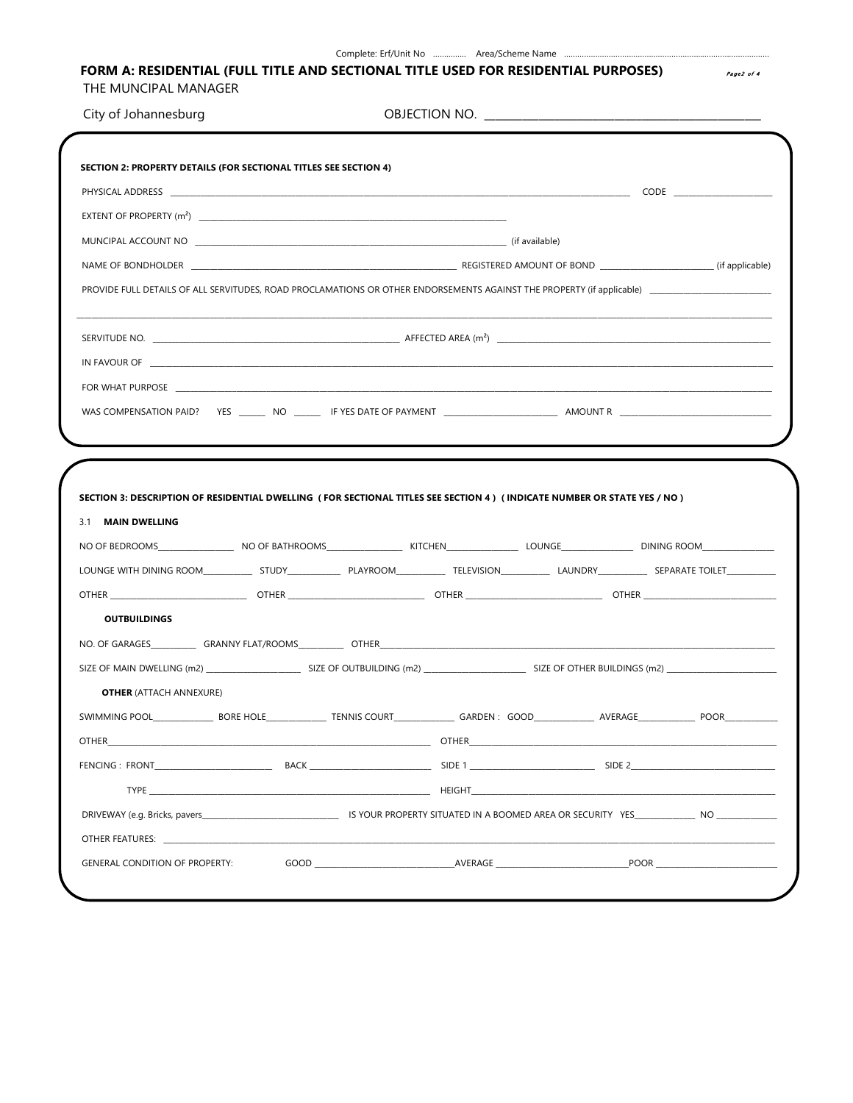| City of Johannesburg                                                                                                                                                                                                          |  |  |  |
|-------------------------------------------------------------------------------------------------------------------------------------------------------------------------------------------------------------------------------|--|--|--|
|                                                                                                                                                                                                                               |  |  |  |
| <b>SECTION 2: PROPERTY DETAILS (FOR SECTIONAL TITLES SEE SECTION 4)</b>                                                                                                                                                       |  |  |  |
|                                                                                                                                                                                                                               |  |  |  |
|                                                                                                                                                                                                                               |  |  |  |
|                                                                                                                                                                                                                               |  |  |  |
|                                                                                                                                                                                                                               |  |  |  |
|                                                                                                                                                                                                                               |  |  |  |
|                                                                                                                                                                                                                               |  |  |  |
|                                                                                                                                                                                                                               |  |  |  |
| FOR WHAT PURPOSE THE RESERVED OF THE RESERVED OF THE RESERVED OF THE RESERVED OF THE RESERVED OF THE RESERVED OF THE RESERVED OF THE RESERVED OF THE RESERVED OF THE RESERVED OF THE RESERVED OF THE RESERVED OF THE RESERVED |  |  |  |
|                                                                                                                                                                                                                               |  |  |  |
|                                                                                                                                                                                                                               |  |  |  |
|                                                                                                                                                                                                                               |  |  |  |
| SECTION 3: DESCRIPTION OF RESIDENTIAL DWELLING (FOR SECTIONAL TITLES SEE SECTION 4) (INDICATE NUMBER OR STATE YES / NO)<br>3.1 MAIN DWELLING                                                                                  |  |  |  |
|                                                                                                                                                                                                                               |  |  |  |
| OTHER ________________________________OTHER ______________________________OTHER ______________________________                                                                                                                |  |  |  |
| <b>OUTBUILDINGS</b>                                                                                                                                                                                                           |  |  |  |
|                                                                                                                                                                                                                               |  |  |  |
|                                                                                                                                                                                                                               |  |  |  |
| <b>OTHER</b> (ATTACH ANNEXURE)                                                                                                                                                                                                |  |  |  |
|                                                                                                                                                                                                                               |  |  |  |
|                                                                                                                                                                                                                               |  |  |  |
|                                                                                                                                                                                                                               |  |  |  |
|                                                                                                                                                                                                                               |  |  |  |
| OTHER                                                                                                                                                                                                                         |  |  |  |

Complete: Erf/Unit No ............... Area/Scheme Name .....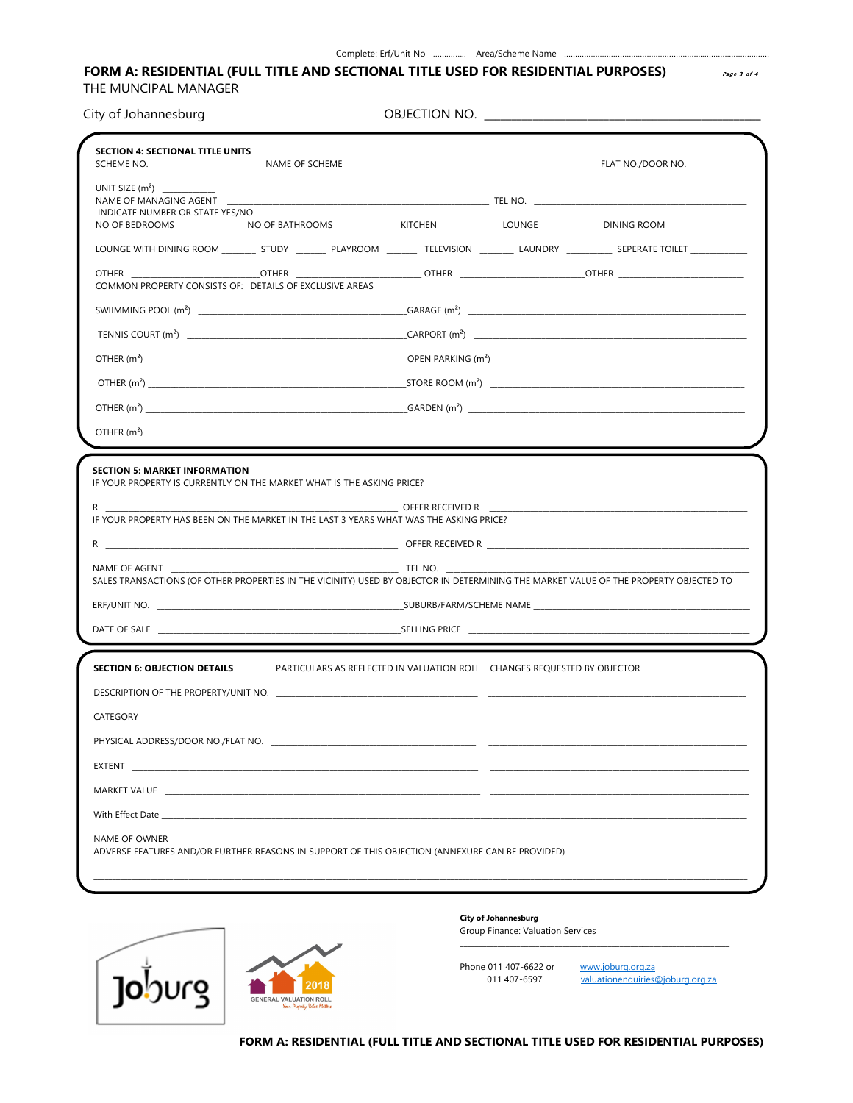#### Complete: Erf/Unit No ................ Area/Scheme Name .....

# FORM A: RESIDENTIAL (FULL TITLE AND SECTIONAL TITLE USED FOR RESIDENTIAL PURPOSES)

THE MUNCIPAL MANAGER

City of Johannesburg

OBJECTION NO.

| <b>SECTION 4: SECTIONAL TITLE UNITS</b>               |                                                                                                                                                                                                                                      |                  |                                                                                  |
|-------------------------------------------------------|--------------------------------------------------------------------------------------------------------------------------------------------------------------------------------------------------------------------------------------|------------------|----------------------------------------------------------------------------------|
|                                                       |                                                                                                                                                                                                                                      |                  |                                                                                  |
| INDICATE NUMBER OR STATE YES/NO                       |                                                                                                                                                                                                                                      |                  |                                                                                  |
|                                                       | NO OF BEDROOMS _______________ NO OF BATHROOMS _____________ KITCHEN ____________ LOUNGE _____________ DINING ROOM ______________                                                                                                    |                  |                                                                                  |
|                                                       | LOUNGE WITH DINING ROOM __________ STUDY __________ PLAYROOM _________ TELEVISION ____________ LAUNDRY ____________ SEPERATE TOILET ______________                                                                                   |                  |                                                                                  |
| <b>OTHER</b>                                          | <b>OTHER</b>                                                                                                                                                                                                                         |                  | ___________ OTHER    ___________________________OTHER    _______________________ |
|                                                       | COMMON PROPERTY CONSISTS OF: DETAILS OF EXCLUSIVE AREAS                                                                                                                                                                              |                  |                                                                                  |
|                                                       |                                                                                                                                                                                                                                      |                  |                                                                                  |
|                                                       |                                                                                                                                                                                                                                      |                  |                                                                                  |
|                                                       |                                                                                                                                                                                                                                      |                  |                                                                                  |
|                                                       | OTHER $(m^2)$                                                                                                                                                                                                                        |                  |                                                                                  |
|                                                       |                                                                                                                                                                                                                                      |                  |                                                                                  |
| OTHER $(m2)$                                          |                                                                                                                                                                                                                                      |                  |                                                                                  |
|                                                       |                                                                                                                                                                                                                                      |                  |                                                                                  |
|                                                       | IF YOUR PROPERTY IS CURRENTLY ON THE MARKET WHAT IS THE ASKING PRICE?<br>IF YOUR PROPERTY HAS BEEN ON THE MARKET IN THE LAST 3 YEARS WHAT WAS THE ASKING PRICE?                                                                      | OFFER RECEIVED R |                                                                                  |
| <b>SECTION 5: MARKET INFORMATION</b><br>NAME OF AGENT | SALES TRANSACTIONS (OF OTHER PROPERTIES IN THE VICINITY) USED BY OBJECTOR IN DETERMINING THE MARKET VALUE OF THE PROPERTY OBJECTED TO                                                                                                | TEL NO.          |                                                                                  |
|                                                       |                                                                                                                                                                                                                                      |                  |                                                                                  |
|                                                       |                                                                                                                                                                                                                                      |                  |                                                                                  |
|                                                       |                                                                                                                                                                                                                                      |                  |                                                                                  |
| <b>SECTION 6: OBJECTION DETAILS</b>                   | PARTICULARS AS REFLECTED IN VALUATION ROLL CHANGES REQUESTED BY OBJECTOR                                                                                                                                                             |                  |                                                                                  |
|                                                       |                                                                                                                                                                                                                                      |                  |                                                                                  |
|                                                       |                                                                                                                                                                                                                                      |                  |                                                                                  |
|                                                       |                                                                                                                                                                                                                                      |                  |                                                                                  |
| EXTENT                                                |                                                                                                                                                                                                                                      |                  |                                                                                  |
|                                                       | MARKET VALUE <b>AND A SERVICE AND A SERVICE OF A SERVICE AND A SERVICE OF A SERVICE OF A SERVICE OF A SERVICE OF A SERVICE OF A SERVICE OF A SERVICE OF A SERVICE OF A SERVICE OF A SERVICE OF A SERVICE OF A SERVICE OF A SERVI</b> |                  |                                                                                  |
|                                                       |                                                                                                                                                                                                                                      |                  |                                                                                  |



#### City of Johannesburg Group Finance: Valuation Services

Phone 011 407-6622 or www.joburg.org.za 011 407-6597

valuationenquiries@joburg.org.za

FORM A: RESIDENTIAL (FULL TITLE AND SECTIONAL TITLE USED FOR RESIDENTIAL PURPOSES)